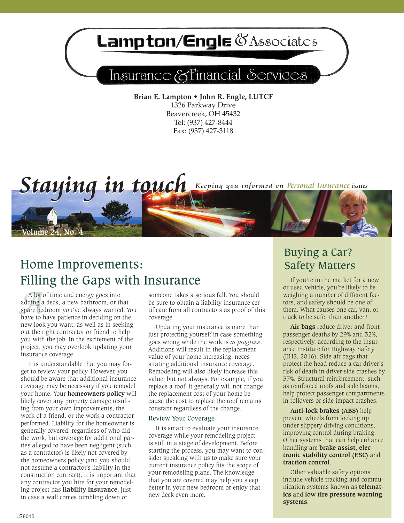## Lampton/Engle & Associates

## Insurance & Financial Services

**Brian E. Lampton • John R. Engle, LUTCF** 1326 Parkway Drive Beavercreek, OH 45432 Tel: (937) 427-8444 Fax: (937) 427-3118



## Home Improvements: Safety Matters Filling the Gaps with Insurance

*A* lot c<br>adding a<br>spare bec<br>have to b A lot of time and energy goes into adding a deck, a new bathroom, or that spare bedroom you've always wanted. You have to have patience in deciding on the new look you want, as well as in seeking out the right contractor or friend to help you with the job. In the excitement of the project, you may overlook updating your insurance coverage.

It is understandable that you may forget to review your policy. However, you should be aware that additional insurance coverage may be necessary if you remodel your home. Your **homeowners policy** will likely cover any property damage resulting from your own improvements, the work of a friend, or the work a contractor performed. Liability for the homeowner is generally covered, regardless of who did the work, but coverage for additional parties alleged to have been negligent (such as a contractor) is likely not covered by the homeowners policy (and you should not assume a contractor's liability in the construction contract). It is important that any contractor you hire for your remodeling project has **liability insurance**, just in case a wall comes tumbling down or

someone takes a serious fall. You should be sure to obtain a liability insurance certificate from all contractors as proof of this coverage.

Updating your insurance is more than just protecting yourself in case something goes wrong while the work is *in progress*. Additions will result in the replacement value of your home increasing, necessitating additional insurance coverage. Remodeling will also likely increase this value, but not always. For example, if you replace a roof, it generally will not change the replacement cost of your home because the cost to replace the roof remains constant regardless of the change.

#### Review Your Coverage

It is smart to evaluate your insurance coverage while your remodeling project is still in a stage of development. Before starting the process, you may want to consider speaking with us to make sure your current insurance policy fits the scope of your remodeling plans. The knowledge that you are covered may help you sleep better in your new bedroom or enjoy that new deck even more.

# Buying a Car?

If you're in the market for a new or used vehicle, you're likely to be weighing a number of different factors, and safety should be one of them. What causes one car, van, or truck to be safer than another?

**Air bags** reduce driver and front passenger deaths by 29% and 32%, respectively, according to the Insurance Institute for Highway Safety (IIHS, 2016). Side air bags that protect the head reduce a car driver's risk of death in driver-side crashes by 37%. Structural reinforcement, such as reinforced roofs and side beams, help protect passenger compartments in rollovers or side impact crashes.

**Anti-lock brakes (ABS)** help prevent wheels from locking up under slippery driving conditions, improving control during braking. Other systems that can help enhance handling are **brake assist, electronic stability control (ESC)** and **traction control**.

Other valuable safety options include vehicle tracking and communication systems known as **telematics** and **low tire pressure warning systems**.